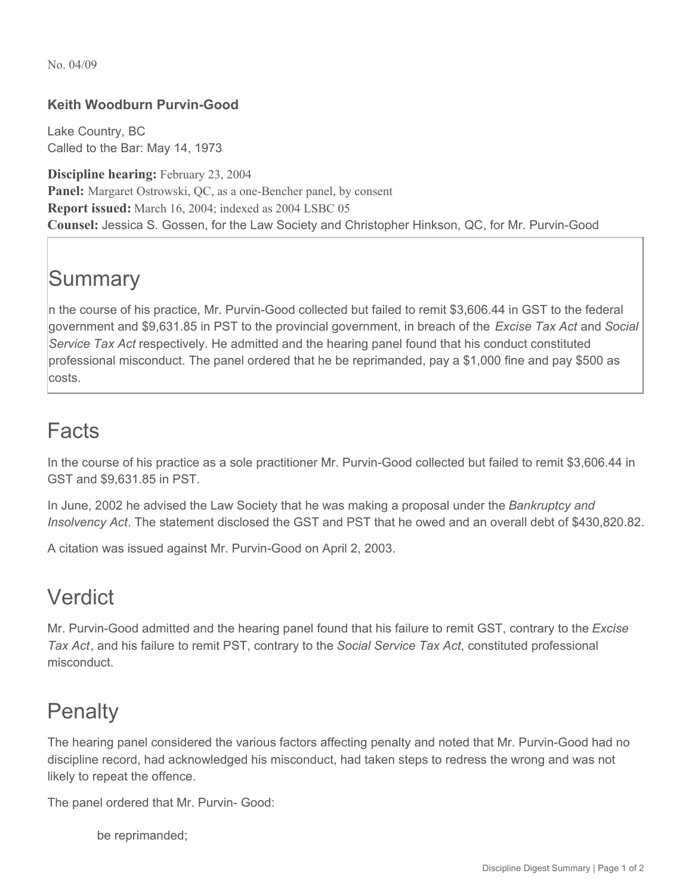No. 04/09

### **Keith Woodburn Purvin-Good**

Lake Country, BC Called to the Bar: May 14, 1973

**Discipline hearing:** February 23, 2004 **Panel:** Margaret Ostrowski, QC, as a one-Bencher panel, by consent **Report issued:** March 16, 2004; indexed as 2004 LSBC 05 **Counsel:** Jessica S. Gossen, for the Law Society and Christopher Hinkson, QC, for Mr. Purvin-Good

# **Summary**

n the course of his practice, Mr. Purvin-Good collected but failed to remit \$3,606.44 in GST to the federal government and \$9,631.85 in PST to the provincial government, in breach of the *Excise Tax Act* and *Social Service Tax Act* respectively. He admitted and the hearing panel found that his conduct constituted professional misconduct. The panel ordered that he be reprimanded, pay a \$1,000 fine and pay \$500 as costs.

## Facts

In the course of his practice as a sole practitioner Mr. Purvin-Good collected but failed to remit \$3,606.44 in GST and \$9,631.85 in PST.

In June, 2002 he advised the Law Society that he was making a proposal under the *Bankruptcy and Insolvency Act*. The statement disclosed the GST and PST that he owed and an overall debt of \$430,820.82.

A citation was issued against Mr. Purvin-Good on April 2, 2003.

## Verdict

Mr. Purvin-Good admitted and the hearing panel found that his failure to remit GST, contrary to the *Excise Tax Act*, and his failure to remit PST, contrary to the *Social Service Tax Act*, constituted professional misconduct.

## **Penalty**

The hearing panel considered the various factors affecting penalty and noted that Mr. Purvin-Good had no discipline record, had acknowledged his misconduct, had taken steps to redress the wrong and was not likely to repeat the offence.

The panel ordered that Mr. Purvin- Good:

be reprimanded;